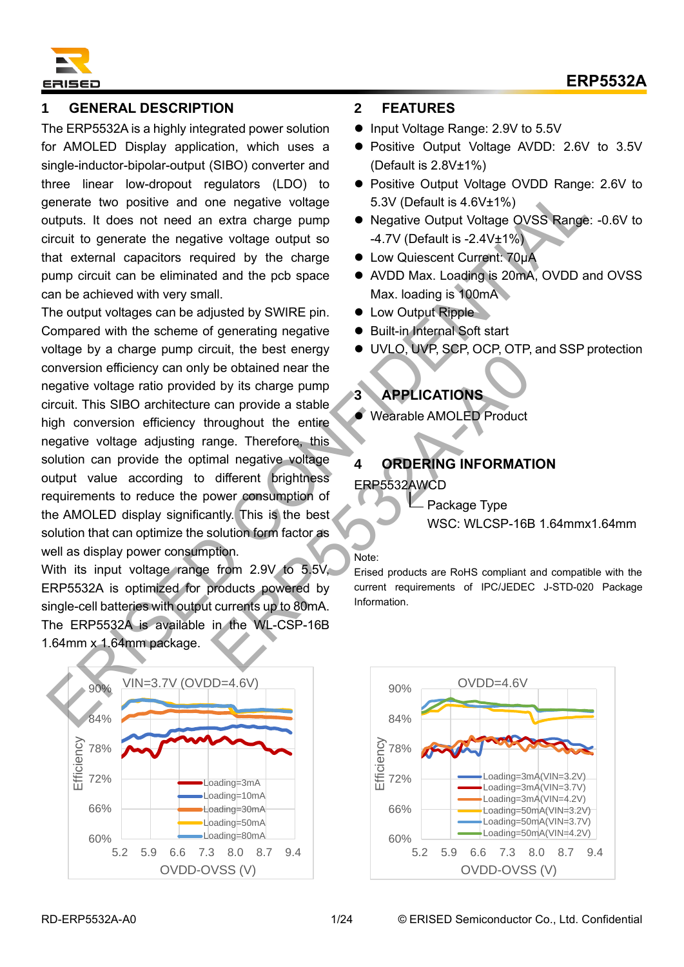

# **1 GENERAL DESCRIPTION**

The ERP5532A is a highly integrated power solution for AMOLED Display application, which uses a single-inductor-bipolar-output (SIBO) converter and three linear low-dropout regulators (LDO) to generate two positive and one negative voltage outputs. It does not need an extra charge pump circuit to generate the negative voltage output so that external capacitors required by the charge pump circuit can be eliminated and the pcb space can be achieved with very small.

The output voltages can be adjusted by SWIRE pin. Compared with the scheme of generating negative voltage by a charge pump circuit, the best energy conversion efficiency can only be obtained near the negative voltage ratio provided by its charge pump circuit. This SIBO architecture can provide a stable high conversion efficiency throughout the entire negative voltage adjusting range. Therefore, this solution can provide the optimal negative voltage output value according to different brightness requirements to reduce the power consumption of the AMOLED display significantly. This is the best solution that can optimize the solution form factor as well as display power consumption. mental to the since the weather and a particular terms of the matter and the since of the since of the since of the since of the since of the since of the since of the since of the since of the since of the since of the co EXERCISE THE WEST CONTROLLING INFORMAT<br>
Troughout the entire<br>
Troughout the entire<br>
Troughout the entire<br>
Troughout the entire<br>
Troughout the entire<br>
Troughout the entire<br>
Troughout the entire<br>
Troughout the entire<br>
Trough

With its input voltage range from 2.9V to 5.5V, ERP5532A is optimized for products powered by single-cell batteries with output currents up to 80mA. The ERP5532A is available in the WL-CSP-16B 1.64mm x 1.64mm package.



### **2 FEATURES**

- Input Voltage Range: 2.9V to 5.5V
- Positive Output Voltage AVDD: 2.6V to 3.5V (Default is 2.8V±1%)
- Positive Output Voltage OVDD Range: 2.6V to 5.3V (Default is 4.6V±1%)
- Negative Output Voltage OVSS Range: -0.6V to -4.7V (Default is -2.4V±1%)
- ⚫ Low Quiescent Current: 70μA
- AVDD Max. Loading is 20mA, OVDD and OVSS Max. loading is 100mA
- Low Output Ripple
- Built-in Internal Soft start
- ⚫ UVLO, UVP, SCP, OCP, OTP, and SSP protection

# **3 APPLICATIONS**

⚫ Wearable AMOLED Product

# **4 ORDERING INFORMATION**

ERP5532AWCD

- Package Type

WSC: WLCSP-16B 1.64mmx1.64mm

#### Note:

Erised products are RoHS compliant and compatible with the current requirements of IPC/JEDEC J-STD-020 Package Information.